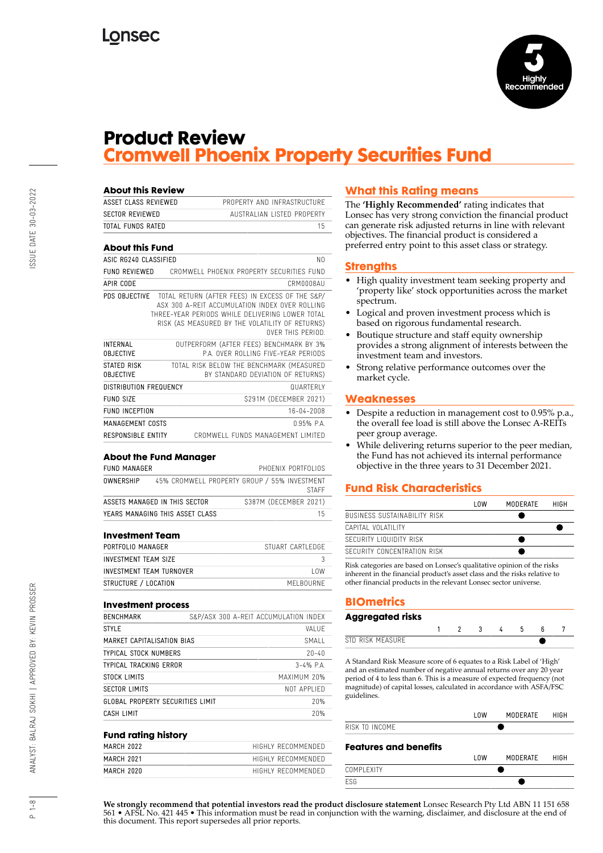

## **Product Review Cromwell Phoenix Property Securities Fund**

| ASSET CLASS REVIEWED                | PROPERTY AND INFRASTRUCTURE                                                                                                                                                                                                               |
|-------------------------------------|-------------------------------------------------------------------------------------------------------------------------------------------------------------------------------------------------------------------------------------------|
| <b>SECTOR REVIEWED</b>              | AUSTRALIAN LISTED PROPERTY                                                                                                                                                                                                                |
| TOTAL FUNDS RATED                   | 15                                                                                                                                                                                                                                        |
| <b>About this Fund</b>              |                                                                                                                                                                                                                                           |
| ASIC RG240 CLASSIFIED               | N <sub>0</sub>                                                                                                                                                                                                                            |
| <b>FUND REVIEWED</b>                | CROMWELL PHOENIX PROPERTY SECURITIES FUND                                                                                                                                                                                                 |
| <b>APIR CODE</b>                    | CRMNNNRAU                                                                                                                                                                                                                                 |
|                                     | PDS OBJECTIVE TOTAL RETURN (AFTER FEES) IN EXCESS OF THE S&P/<br>ASX 300 A-REIT ACCUMULATION INDEX OVER ROLLING<br>THREE-YEAR PERIODS WHILE DELIVERING LOWER TOTAL<br>RISK (AS MEASURED BY THE VOLATILITY OF RETURNS)<br>OVER THIS PERIOD |
| <b>INTERNAL</b><br><b>OBJECTIVE</b> | OUTPERFORM (AFTER FEES) BENCHMARK BY 3%<br>PA OVER ROLLING FIVE-YEAR PERIODS                                                                                                                                                              |
| STATED RISK<br><b>OBJECTIVE</b>     | TOTAL RISK BELOW THE BENCHMARK (MEASURED<br>BY STANDARD DEVIATION OF RETURNS)                                                                                                                                                             |
| DISTRIBUTION FREQUENCY              | <b>QUARTERLY</b>                                                                                                                                                                                                                          |
| FUND SIZE                           | \$291M (DECEMBER 2021)                                                                                                                                                                                                                    |
| <b>FUND INCEPTION</b>               | 16-04-2008                                                                                                                                                                                                                                |
| MANAGEMENT COSTS                    | 0.95% PA                                                                                                                                                                                                                                  |
| <b>RESPONSIBLE ENTITY</b>           | CROMWELL FUNDS MANAGEMENT LIMITED                                                                                                                                                                                                         |

### **About the Fund Manager**

| FUND MANAGER |                                 |                                              | PHOFNIX PORTFOLIOS |
|--------------|---------------------------------|----------------------------------------------|--------------------|
| OWNERSHIP    |                                 | 45% CROMWELL PROPERTY GROUP / 55% INVESTMENT | <b>STAFF</b>       |
|              | ASSETS MANAGED IN THIS SECTOR   | \$387M (DECEMBER 2021)                       |                    |
|              | YEARS MANAGING THIS ASSET CLASS |                                              | 15                 |

### **Investment Team**

| PORTFOLIO MANAGER        | STUART CARTI FDGF |
|--------------------------|-------------------|
| INVESTMENT TEAM SIZE     |                   |
| INVESTMENT TEAM TURNOVER | l nw              |
| STRUCTURE / LOCATION     | MEI BOURNE        |

#### **Investment process**

|                                         |  | S&P/ASX 300 A-REIT ACCUMULATION INDEX |
|-----------------------------------------|--|---------------------------------------|
|                                         |  | VAI UF                                |
| MARKET CAPITALISATION BIAS              |  | SMALL                                 |
|                                         |  | $20 - 40$                             |
|                                         |  | $3 - 4%$ P.A.                         |
|                                         |  | MAXIMUM 20%                           |
|                                         |  | NOT APPLIFD                           |
| <b>GLOBAL PROPERTY SECURITIES LIMIT</b> |  | 20%                                   |
|                                         |  | 20%                                   |
|                                         |  |                                       |

#### **Fund rating history**

| MARCH 2022 | HIGHLY RECOMMENDED |
|------------|--------------------|
| MARCH 2021 | HIGHLY RECOMMENDED |
| MARCH 2020 | HIGHIY RECOMMENDED |

### **What this Rating means**

The **'Highly Recommended'** rating indicates that Lonsec has very strong conviction the financial product can generate risk adjusted returns in line with relevant objectives. The financial product is considered a preferred entry point to this asset class or strategy.

### **Strengths**

- High quality investment team seeking property and 'property like' stock opportunities across the market spectrum.
- Logical and proven investment process which is based on rigorous fundamental research.
- Boutique structure and staff equity ownership provides a strong alignment of interests between the investment team and investors.
- Strong relative performance outcomes over the market cycle.

### **Weaknesses**

- Despite a reduction in management cost to 0.95% p.a., the overall fee load is still above the Lonsec A-REITs peer group average.
- While delivering returns superior to the peer median, the Fund has not achieved its internal performance objective in the three years to 31 December 2021.

### **Fund Risk Characteristics**

|                              | l nw | MODERATE | HIGH |
|------------------------------|------|----------|------|
| BUSINESS SUSTAINABILITY RISK |      |          |      |
| CAPITAL VOLATILITY           |      |          |      |
| SECURITY LIQUIDITY RISK      |      |          |      |
| SECURITY CONCENTRATION RISK  |      |          |      |

Risk categories are based on Lonsec's qualitative opinion of the risks inherent in the financial product's asset class and the risks relative to other financial products in the relevant Lonsec sector universe.

### **BIOmetrics**

## **Aggregated risks**

| ĸ<br><b>NA</b><br> |  |  |  |  |
|--------------------|--|--|--|--|

A Standard Risk Measure score of 6 equates to a Risk Label of 'High' and an estimated number of negative annual returns over any 20 year period of 4 to less than 6. This is a measure of expected frequency (not magnitude) of capital losses, calculated in accordance with ASFA/FSC guidelines.

|                              | l OW | MODERATE | HIGH |
|------------------------------|------|----------|------|
| RISK TO INCOME               |      |          |      |
| <b>Features and benefits</b> |      |          |      |
|                              | l OW | MODERATE | HIGH |
| COMPI FXITY                  |      |          |      |

**We strongly recommend that potential investors read the product disclosure statement** Lonsec Research Pty Ltd ABN 11 151 658 561 • AFSL No. 421 445 • This information must be read in conjunction with the warning, disclaimer, and disclosure at the end of this document. This report supersedes all prior reports.

ESG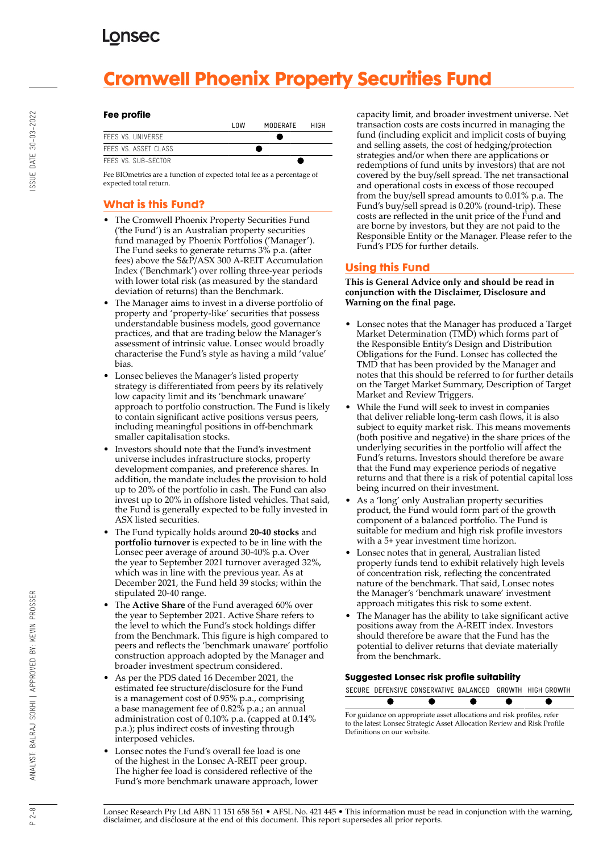# **Cromwell Phoenix Property Securities Fund**

### **Fee profile**

|                      | l nw | MODERATE | HIGH |
|----------------------|------|----------|------|
| FFFS VS. UNIVERSE    |      |          |      |
| FEES VS. ASSET CLASS |      |          |      |
| FFFS VS. SUB-SECTOR  |      |          |      |

Fee BIOmetrics are a function of expected total fee as a percentage of expected total return.

## **What is this Fund?**

- The Cromwell Phoenix Property Securities Fund ('the Fund') is an Australian property securities fund managed by Phoenix Portfolios ('Manager'). The Fund seeks to generate returns 3% p.a. (after fees) above the S&P/ASX 300 A-REIT Accumulation Index ('Benchmark') over rolling three-year periods with lower total risk (as measured by the standard deviation of returns) than the Benchmark.
- The Manager aims to invest in a diverse portfolio of property and 'property-like' securities that possess understandable business models, good governance practices, and that are trading below the Manager's assessment of intrinsic value. Lonsec would broadly characterise the Fund's style as having a mild 'value' bias.
- Lonsec believes the Manager's listed property strategy is differentiated from peers by its relatively low capacity limit and its 'benchmark unaware' approach to portfolio construction. The Fund is likely to contain significant active positions versus peers, including meaningful positions in off-benchmark smaller capitalisation stocks.
- Investors should note that the Fund's investment universe includes infrastructure stocks, property development companies, and preference shares. In addition, the mandate includes the provision to hold up to 20% of the portfolio in cash. The Fund can also invest up to 20% in offshore listed vehicles. That said, the Fund is generally expected to be fully invested in ASX listed securities.
- The Fund typically holds around **20-40 stocks** and **portfolio turnover** is expected to be in line with the Lonsec peer average of around 30-40% p.a. Over the year to September 2021 turnover averaged 32%, which was in line with the previous year. As at December 2021, the Fund held 39 stocks; within the stipulated 20-40 range.
- The **Active Share** of the Fund averaged 60% over the year to September 2021. Active Share refers to the level to which the Fund's stock holdings differ from the Benchmark. This figure is high compared to peers and reflects the 'benchmark unaware' portfolio construction approach adopted by the Manager and broader investment spectrum considered.
- As per the PDS dated 16 December 2021, the estimated fee structure/disclosure for the Fund is a management cost of 0.95% p.a., comprising a base management fee of 0.82% p.a.; an annual administration cost of 0.10% p.a. (capped at 0.14% p.a.); plus indirect costs of investing through interposed vehicles.
- Lonsec notes the Fund's overall fee load is one of the highest in the Lonsec A-REIT peer group. The higher fee load is considered reflective of the Fund's more benchmark unaware approach, lower

capacity limit, and broader investment universe. Net transaction costs are costs incurred in managing the fund (including explicit and implicit costs of buying and selling assets, the cost of hedging/protection strategies and/or when there are applications or redemptions of fund units by investors) that are not covered by the buy/sell spread. The net transactional and operational costs in excess of those recouped from the buy/sell spread amounts to 0.01% p.a. The Fund's buy/sell spread is 0.20% (round-trip). These costs are reflected in the unit price of the Fund and are borne by investors, but they are not paid to the Responsible Entity or the Manager. Please refer to the Fund's PDS for further details.

### **Using this Fund**

**This is General Advice only and should be read in conjunction with the Disclaimer, Disclosure and Warning on the final page.**

- Lonsec notes that the Manager has produced a Target Market Determination (TMD) which forms part of the Responsible Entity's Design and Distribution Obligations for the Fund. Lonsec has collected the TMD that has been provided by the Manager and notes that this should be referred to for further details on the Target Market Summary, Description of Target Market and Review Triggers.
- While the Fund will seek to invest in companies that deliver reliable long-term cash flows, it is also subject to equity market risk. This means movements (both positive and negative) in the share prices of the underlying securities in the portfolio will affect the Fund's returns. Investors should therefore be aware that the Fund may experience periods of negative returns and that there is a risk of potential capital loss being incurred on their investment.
- As a 'long' only Australian property securities product, the Fund would form part of the growth component of a balanced portfolio. The Fund is suitable for medium and high risk profile investors with a 5+ year investment time horizon.
- Lonsec notes that in general, Australian listed property funds tend to exhibit relatively high levels of concentration risk, reflecting the concentrated nature of the benchmark. That said, Lonsec notes the Manager's 'benchmark unaware' investment approach mitigates this risk to some extent.
- The Manager has the ability to take significant active positions away from the A-REIT index. Investors should therefore be aware that the Fund has the potential to deliver returns that deviate materially from the benchmark.

### **Suggested Lonsec risk profile suitability**

|  | SECURE DEFENSIVE CONSERVATIVE BALANCED. GROWTH HIGH GROWTH |  |  |
|--|------------------------------------------------------------|--|--|
|  |                                                            |  |  |
|  |                                                            |  |  |

For guidance on appropriate asset allocations and risk profiles, refer to the latest Lonsec Strategic Asset Allocation Review and Risk Profile Definitions on our website.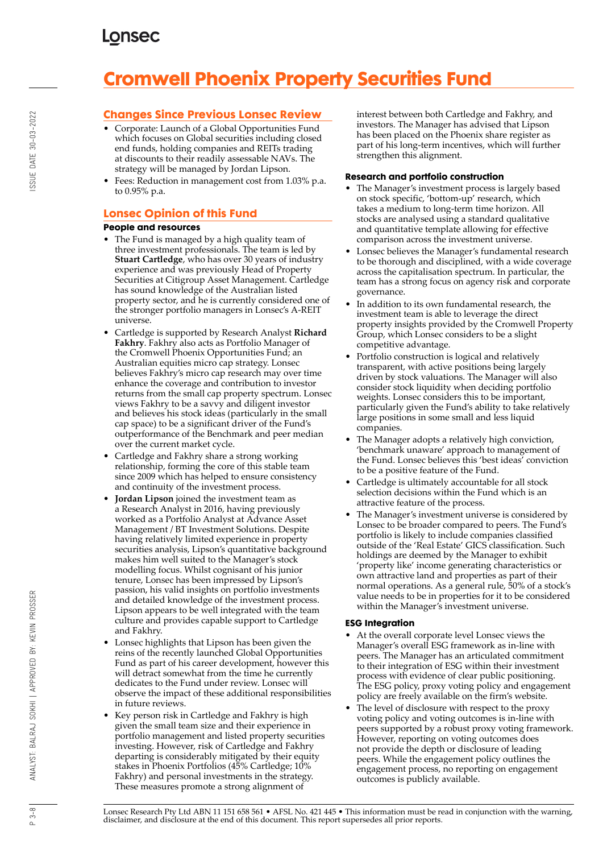# **Cromwell Phoenix Property Securities Fund**

## **Changes Since Previous Lonsec Review**

- Corporate: Launch of a Global Opportunities Fund which focuses on Global securities including closed end funds, holding companies and REITs trading at discounts to their readily assessable NAVs. The strategy will be managed by Jordan Lipson.
- Fees: Reduction in management cost from 1.03% p.a. to 0.95% p.a.

### **Lonsec Opinion of this Fund**

### **People and resources**

- The Fund is managed by a high quality team of three investment professionals. The team is led by **Stuart Cartledge**, who has over 30 years of industry experience and was previously Head of Property Securities at Citigroup Asset Management. Cartledge has sound knowledge of the Australian listed property sector, and he is currently considered one of the stronger portfolio managers in Lonsec's A-REIT universe.
- Cartledge is supported by Research Analyst **Richard Fakhry**. Fakhry also acts as Portfolio Manager of the Cromwell Phoenix Opportunities Fund; an Australian equities micro cap strategy. Lonsec believes Fakhry's micro cap research may over time enhance the coverage and contribution to investor returns from the small cap property spectrum. Lonsec views Fakhry to be a savvy and diligent investor and believes his stock ideas (particularly in the small cap space) to be a significant driver of the Fund's outperformance of the Benchmark and peer median over the current market cycle.
- Cartledge and Fakhry share a strong working relationship, forming the core of this stable team since 2009 which has helped to ensure consistency and continuity of the investment process.
- **Jordan Lipson** joined the investment team as a Research Analyst in 2016, having previously worked as a Portfolio Analyst at Advance Asset Management / BT Investment Solutions. Despite having relatively limited experience in property securities analysis, Lipson's quantitative background makes him well suited to the Manager's stock modelling focus. Whilst cognisant of his junior tenure, Lonsec has been impressed by Lipson's passion, his valid insights on portfolio investments and detailed knowledge of the investment process. Lipson appears to be well integrated with the team culture and provides capable support to Cartledge and Fakhry.
- Lonsec highlights that Lipson has been given the reins of the recently launched Global Opportunities Fund as part of his career development, however this will detract somewhat from the time he currently dedicates to the Fund under review. Lonsec will observe the impact of these additional responsibilities in future reviews.
- Key person risk in Cartledge and Fakhry is high given the small team size and their experience in portfolio management and listed property securities investing. However, risk of Cartledge and Fakhry departing is considerably mitigated by their equity stakes in Phoenix Portfolios (45% Cartledge; 10% Fakhry) and personal investments in the strategy. These measures promote a strong alignment of

interest between both Cartledge and Fakhry, and investors. The Manager has advised that Lipson has been placed on the Phoenix share register as part of his long-term incentives, which will further strengthen this alignment.

### **Research and portfolio construction**

- The Manager's investment process is largely based on stock specific, 'bottom-up' research, which takes a medium to long-term time horizon. All stocks are analysed using a standard qualitative and quantitative template allowing for effective comparison across the investment universe.
- Lonsec believes the Manager's fundamental research to be thorough and disciplined, with a wide coverage across the capitalisation spectrum. In particular, the team has a strong focus on agency risk and corporate governance.
- In addition to its own fundamental research, the investment team is able to leverage the direct property insights provided by the Cromwell Property Group, which Lonsec considers to be a slight competitive advantage.
- Portfolio construction is logical and relatively transparent, with active positions being largely driven by stock valuations. The Manager will also consider stock liquidity when deciding portfolio weights. Lonsec considers this to be important, particularly given the Fund's ability to take relatively large positions in some small and less liquid companies.
- The Manager adopts a relatively high conviction, 'benchmark unaware' approach to management of the Fund. Lonsec believes this 'best ideas' conviction to be a positive feature of the Fund.
- Cartledge is ultimately accountable for all stock selection decisions within the Fund which is an attractive feature of the process.
- The Manager's investment universe is considered by Lonsec to be broader compared to peers. The Fund's portfolio is likely to include companies classified outside of the 'Real Estate' GICS classification. Such holdings are deemed by the Manager to exhibit 'property like' income generating characteristics or own attractive land and properties as part of their normal operations. As a general rule, 50% of a stock's value needs to be in properties for it to be considered within the Manager's investment universe.

### **ESG Integration**

- At the overall corporate level Lonsec views the Manager's overall ESG framework as in-line with peers. The Manager has an articulated commitment to their integration of ESG within their investment process with evidence of clear public positioning. The ESG policy, proxy voting policy and engagement policy are freely available on the firm's website.
- The level of disclosure with respect to the proxy voting policy and voting outcomes is in-line with peers supported by a robust proxy voting framework. However, reporting on voting outcomes does not provide the depth or disclosure of leading peers. While the engagement policy outlines the engagement process, no reporting on engagement outcomes is publicly available.

Lonsec Research Pty Ltd ABN 11 151 658 561 • AFSL No. 421 445 • This information must be read in conjunction with the warning, disclaimer, and disclosure at the end of this document. This report supersedes all prior reports.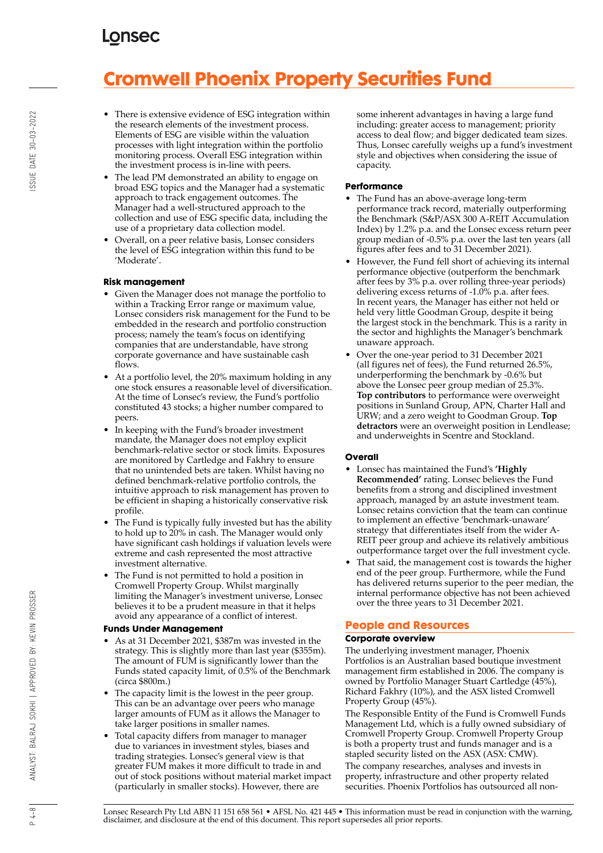# **Cromwell Phoenix Property Securities Fund**

- There is extensive evidence of ESG integration within the research elements of the investment process. Elements of ESG are visible within the valuation processes with light integration within the portfolio monitoring process. Overall ESG integration within the investment process is in-line with peers.
- The lead PM demonstrated an ability to engage on broad ESG topics and the Manager had a systematic approach to track engagement outcomes. The Manager had a well-structured approach to the collection and use of ESG specific data, including the use of a proprietary data collection model.
- Overall, on a peer relative basis, Lonsec considers the level of ESG integration within this fund to be 'Moderate'.

### **Risk management**

- Given the Manager does not manage the portfolio to within a Tracking Error range or maximum value, Lonsec considers risk management for the Fund to be embedded in the research and portfolio construction process; namely the team's focus on identifying companies that are understandable, have strong corporate governance and have sustainable cash flows.
- At a portfolio level, the 20% maximum holding in any one stock ensures a reasonable level of diversification. At the time of Lonsec's review, the Fund's portfolio constituted 43 stocks; a higher number compared to peers.
- In keeping with the Fund's broader investment mandate, the Manager does not employ explicit benchmark-relative sector or stock limits. Exposures are monitored by Cartledge and Fakhry to ensure that no unintended bets are taken. Whilst having no defined benchmark-relative portfolio controls, the intuitive approach to risk management has proven to be efficient in shaping a historically conservative risk profile.
- The Fund is typically fully invested but has the ability to hold up to 20% in cash. The Manager would only have significant cash holdings if valuation levels were extreme and cash represented the most attractive investment alternative.
- The Fund is not permitted to hold a position in Cromwell Property Group. Whilst marginally limiting the Manager's investment universe, Lonsec believes it to be a prudent measure in that it helps avoid any appearance of a conflict of interest.

### **Funds Under Management**

- As at 31 December 2021, \$387m was invested in the strategy. This is slightly more than last year (\$355m). The amount of FUM is significantly lower than the Funds stated capacity limit, of 0.5% of the Benchmark (circa \$800m.)
- The capacity limit is the lowest in the peer group. This can be an advantage over peers who manage larger amounts of FUM as it allows the Manager to take larger positions in smaller names.
- Total capacity differs from manager to manager due to variances in investment styles, biases and trading strategies. Lonsec's general view is that greater FUM makes it more difficult to trade in and out of stock positions without material market impact (particularly in smaller stocks). However, there are

some inherent advantages in having a large fund including: greater access to management; priority access to deal flow; and bigger dedicated team sizes. Thus, Lonsec carefully weighs up a fund's investment style and objectives when considering the issue of capacity.

### **Performance**

- The Fund has an above-average long-term performance track record, materially outperforming the Benchmark (S&P/ASX 300 A-REIT Accumulation Index) by 1.2% p.a. and the Lonsec excess return peer group median of -0.5% p.a. over the last ten years (all figures after fees and to 31 December 2021).
- However, the Fund fell short of achieving its internal performance objective (outperform the benchmark after fees by 3% p.a. over rolling three-year periods) delivering excess returns of -1.0% p.a. after fees. In recent years, the Manager has either not held or held very little Goodman Group, despite it being the largest stock in the benchmark. This is a rarity in the sector and highlights the Manager's benchmark unaware approach.
- Over the one-year period to 31 December 2021 (all figures net of fees), the Fund returned 26.5%, underperforming the benchmark by -0.6% but above the Lonsec peer group median of 25.3%. **Top contributors** to performance were overweight positions in Sunland Group, APN, Charter Hall and URW; and a zero weight to Goodman Group. **Top detractors** were an overweight position in Lendlease; and underweights in Scentre and Stockland.

### **Overall**

- Lonsec has maintained the Fund's **'Highly Recommended'** rating. Lonsec believes the Fund benefits from a strong and disciplined investment approach, managed by an astute investment team. Lonsec retains conviction that the team can continue to implement an effective 'benchmark-unaware' strategy that differentiates itself from the wider A-REIT peer group and achieve its relatively ambitious outperformance target over the full investment cycle.
- That said, the management cost is towards the higher end of the peer group. Furthermore, while the Fund has delivered returns superior to the peer median, the internal performance objective has not been achieved over the three years to 31 December 2021.

### **People and Resources**

### **Corporate overview**

The underlying investment manager, Phoenix Portfolios is an Australian based boutique investment management firm established in 2006. The company is owned by Portfolio Manager Stuart Cartledge (45%), Richard Fakhry (10%), and the ASX listed Cromwell Property Group (45%).

The Responsible Entity of the Fund is Cromwell Funds Management Ltd, which is a fully owned subsidiary of Cromwell Property Group. Cromwell Property Group is both a property trust and funds manager and is a stapled security listed on the ASX (ASX: CMW). The company researches, analyses and invests in

property, infrastructure and other property related securities. Phoenix Portfolios has outsourced all non-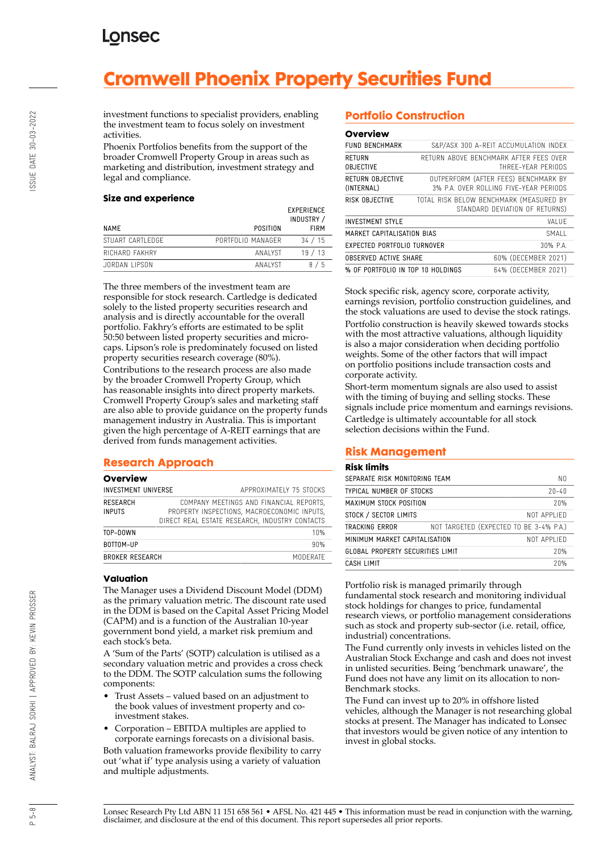# **Cromwell Phoenix Property Securities Fund**

investment functions to specialist providers, enabling the investment team to focus solely on investment activities.

Phoenix Portfolios benefits from the support of the broader Cromwell Property Group in areas such as marketing and distribution, investment strategy and legal and compliance.

### **Size and experience**

| POSITION          | EXPERIENCE<br>INDUSTRY /<br><b>FIRM</b> |
|-------------------|-----------------------------------------|
| PORTFOLIO MANAGER | 34 / 15                                 |
| ANAI YST          | 19/13                                   |
| ANAI YST          | 8/5                                     |
|                   |                                         |

The three members of the investment team are responsible for stock research. Cartledge is dedicated solely to the listed property securities research and analysis and is directly accountable for the overall portfolio. Fakhry's efforts are estimated to be split 50:50 between listed property securities and microcaps. Lipson's role is predominately focused on listed property securities research coverage (80%).

Contributions to the research process are also made by the broader Cromwell Property Group, which has reasonable insights into direct property markets. Cromwell Property Group's sales and marketing staff are also able to provide guidance on the property funds management industry in Australia. This is important given the high percentage of A-REIT earnings that are derived from funds management activities.

### **Research Approach**

### **Overview**

| <b>INVESTMENT UNIVERSE</b>       | APPROXIMATELY 75 STOCKS                                                                                                                  |
|----------------------------------|------------------------------------------------------------------------------------------------------------------------------------------|
| <b>RESEARCH</b><br><b>INPUTS</b> | COMPANY MEETINGS AND FINANCIAL REPORTS,<br>PROPERTY INSPECTIONS, MACROECONOMIC INPUTS,<br>DIRECT REAL ESTATE RESEARCH, INDUSTRY CONTACTS |
| TOP-DOWN                         | 10%                                                                                                                                      |
| BOTTOM-UP                        | 90%                                                                                                                                      |
| <b>BROKER RESEARCH</b>           | MODERATE                                                                                                                                 |
|                                  |                                                                                                                                          |

### **Valuation**

The Manager uses a Dividend Discount Model (DDM) as the primary valuation metric. The discount rate used in the DDM is based on the Capital Asset Pricing Model (CAPM) and is a function of the Australian 10-year government bond yield, a market risk premium and each stock's beta.

A 'Sum of the Parts' (SOTP) calculation is utilised as a secondary valuation metric and provides a cross check to the DDM. The SOTP calculation sums the following components:

- Trust Assets valued based on an adjustment to the book values of investment property and coinvestment stakes.
- Corporation EBITDA multiples are applied to corporate earnings forecasts on a divisional basis. Both valuation frameworks provide flexibility to carry out 'what if' type analysis using a variety of valuation and multiple adjustments.

## **Portfolio Construction**

#### **Overview**

| <b>FUND BENCHMARK</b>             |                                                                                | S&P/ASX 300 A-REIT ACCUMULATION INDEX                        |  |  |  |
|-----------------------------------|--------------------------------------------------------------------------------|--------------------------------------------------------------|--|--|--|
| <b>RETURN</b><br><b>OBJECTIVE</b> |                                                                                | RETURN ABOVE BENCHMARK AFTER FFFS OVER<br>THRFF-YFAR PFRIODS |  |  |  |
| RETURN OBJECTIVE<br>(INTERNAL)    | OUTPERFORM (AFTER FEES) BENCHMARK BY<br>3% P.A. OVER ROLLING FIVE-YEAR PERIODS |                                                              |  |  |  |
| RISK OBJECTIVE                    | TOTAL RISK BELOW BENCHMARK (MEASURED BY<br>STANDARD DEVIATION OF RETURNS)      |                                                              |  |  |  |
| <b>INVESTMENT STYLE</b>           |                                                                                | VAI UF                                                       |  |  |  |
| MARKET CAPITALISATION BIAS        | <b>SMALL</b>                                                                   |                                                              |  |  |  |
| EXPECTED PORTFOLIO TURNOVER       | 30% P.A.                                                                       |                                                              |  |  |  |
| OBSERVED ACTIVE SHARE             | 60% (DECEMBER 2021)                                                            |                                                              |  |  |  |
| % OF PORTFOLIO IN TOP 10 HOLDINGS | 64% (DECEMBER 2021)                                                            |                                                              |  |  |  |

Stock specific risk, agency score, corporate activity, earnings revision, portfolio construction guidelines, and the stock valuations are used to devise the stock ratings. Portfolio construction is heavily skewed towards stocks with the most attractive valuations, although liquidity is also a major consideration when deciding portfolio weights. Some of the other factors that will impact on portfolio positions include transaction costs and corporate activity.

Short-term momentum signals are also used to assist with the timing of buying and selling stocks. These signals include price momentum and earnings revisions. Cartledge is ultimately accountable for all stock selection decisions within the Fund.

### **Risk Management**

### **Risk limits**

| SEPARATE RISK MONITORING TEAM    | N0                                      |             |
|----------------------------------|-----------------------------------------|-------------|
| TYPICAL NUMBER OF STOCKS         | $20 - 40$                               |             |
| MAXIMUM STOCK POSITION           | 20%                                     |             |
| STOCK / SECTOR LIMITS            |                                         | NOT APPLIFD |
| TRACKING ERROR                   | NOT TARGETED (EXPECTED TO BE 3-4% P.A.) |             |
| MINIMUM MARKET CAPITALISATION    | NOT APPLIFD                             |             |
| GLOBAL PROPERTY SECURITIES LIMIT | 20%                                     |             |
| CASH I IMIT                      |                                         | 20%         |
|                                  |                                         |             |

Portfolio risk is managed primarily through fundamental stock research and monitoring individual stock holdings for changes to price, fundamental research views, or portfolio management considerations such as stock and property sub-sector (i.e. retail, office, industrial) concentrations.

The Fund currently only invests in vehicles listed on the Australian Stock Exchange and cash and does not invest in unlisted securities. Being 'benchmark unaware', the Fund does not have any limit on its allocation to non-Benchmark stocks.

The Fund can invest up to 20% in offshore listed vehicles, although the Manager is not researching global stocks at present. The Manager has indicated to Lonsec that investors would be given notice of any intention to invest in global stocks.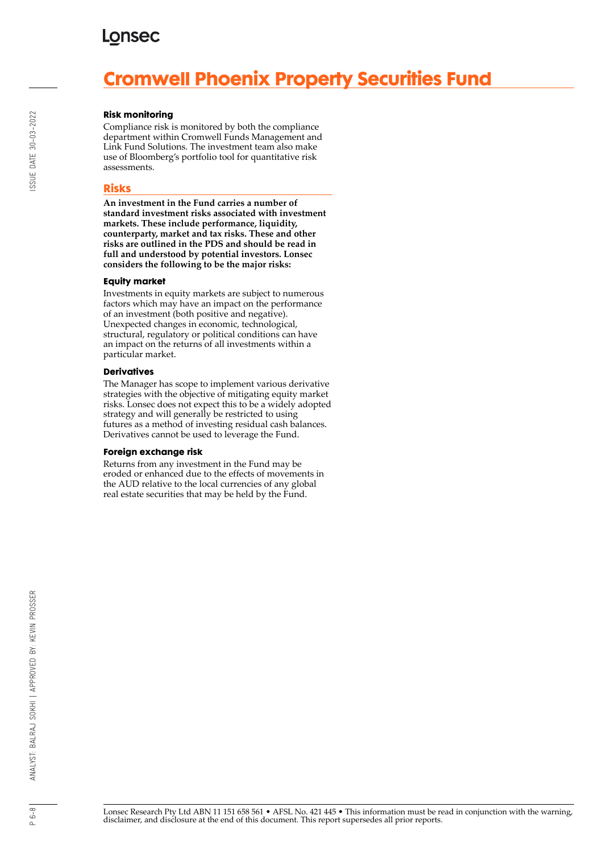# **Cromwell Phoenix Property Securities Fund**

### **Risk monitoring**

Compliance risk is monitored by both the compliance department within Cromwell Funds Management and Link Fund Solutions. The investment team also make use of Bloomberg's portfolio tool for quantitative risk assessments.

### **Risks**

**An investment in the Fund carries a number of standard investment risks associated with investment markets. These include performance, liquidity, counterparty, market and tax risks. These and other risks are outlined in the PDS and should be read in full and understood by potential investors. Lonsec considers the following to be the major risks:**

### **Equity market**

Investments in equity markets are subject to numerous factors which may have an impact on the performance of an investment (both positive and negative). Unexpected changes in economic, technological, structural, regulatory or political conditions can have an impact on the returns of all investments within a particular market.

#### **Derivatives**

The Manager has scope to implement various derivative strategies with the objective of mitigating equity market risks. Lonsec does not expect this to be a widely adopted strategy and will generally be restricted to using futures as a method of investing residual cash balances. Derivatives cannot be used to leverage the Fund.

#### **Foreign exchange risk**

Returns from any investment in the Fund may be eroded or enhanced due to the effects of movements in the AUD relative to the local currencies of any global real estate securities that may be held by the Fund.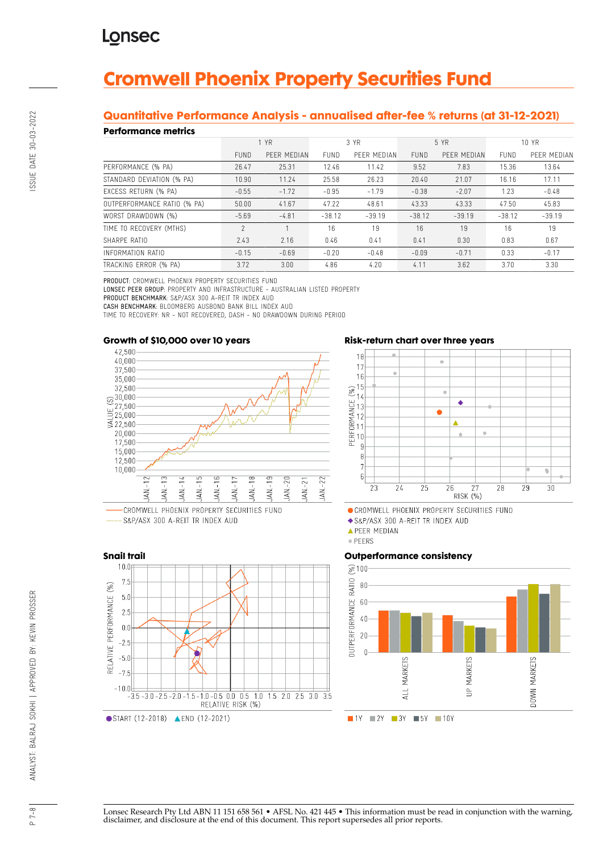# **Cromwell Phoenix Property Securities Fund**

### **Quantitative Performance Analysis - annualised after-fee % returns (at 31-12-2021)**

### **Performance metrics**

| . YN SITTINISY MITHY        |             |             |             |             |             |             |             |             |
|-----------------------------|-------------|-------------|-------------|-------------|-------------|-------------|-------------|-------------|
|                             | 1 YR        |             | 3 YR        |             | 5 YR        |             | 10 YR       |             |
|                             | <b>FUND</b> | PEER MEDIAN | <b>FUND</b> | PEER MEDIAN | <b>FUND</b> | PEER MEDIAN | <b>FUND</b> | PEER MEDIAN |
| PERFORMANCE (% PA)          | 26.47       | 25.31       | 12.46       | 11.42       | 9.52        | 7.83        | 15.36       | 13.64       |
| STANDARD DEVIATION (% PA)   | 10.90       | 11.24       | 25.58       | 26.23       | 20.40       | 21.07       | 16.16       | 17.11       |
| EXCESS RETURN (% PA)        | $-0.55$     | $-1.72$     | $-0.95$     | $-1.79$     | $-0.38$     | $-2.07$     | 1.23        | $-0.48$     |
| OUTPERFORMANCE RATIO (% PA) | 50.00       | 41.67       | 47.22       | 48.61       | 43.33       | 43.33       | 47.50       | 45.83       |
| WORST DRAWDOWN (%)          | $-5.69$     | $-4.81$     | $-38.12$    | $-39.19$    | $-38.12$    | $-39.19$    | $-38.12$    | $-39.19$    |
| TIME TO RECOVERY (MTHS)     | $\gamma$    |             | 16          | 19          | 16          | 19          | 16          | 19          |
| SHARPE RATIO                | 2.43        | 2.16        | 0.46        | 0.41        | 0.41        | 0.30        | 0.83        | 0.67        |
| INFORMATION RATIO           | $-0.15$     | $-0.69$     | $-0.20$     | $-0.48$     | $-0.09$     | $-0.71$     | 0.33        | $-0.17$     |
| TRACKING ERROR (% PA)       | 3.72        | 3.00        | 4.86        | 4.20        | 4.11        | 3.62        | 3.70        | 3.30        |

PRODUCT: CROMWELL PHOENIX PROPERTY SECURITIES FUND

LONSEC PEER GROUP: PROPERTY AND INFRASTRUCTURE - AUSTRALIAN LISTED PROPERTY PRODUCT BENCHMARK: S&P/ASX 300 A-REIT TR INDEX AUD CASH BENCHMARK: BLOOMBERG AUSBOND BANK BILL INDEX AUD

TIME TO RECOVERY: NR - NOT RECOVERED, DASH - NO DRAWDOWN DURING PERIOD

### **Growth of \$10,000 over 10 years**



RELATIVE RISK (%)

S&P/ASX 300 A-REIT TR INDEX AUD





CROMWELL PHOENIX PROPERTY SECURITIES FUND

S&P/ASX 300 A-REIT TR INDEX AUD

**APEER MEDIAN** 

· PEERS

### **Outperformance consistency**